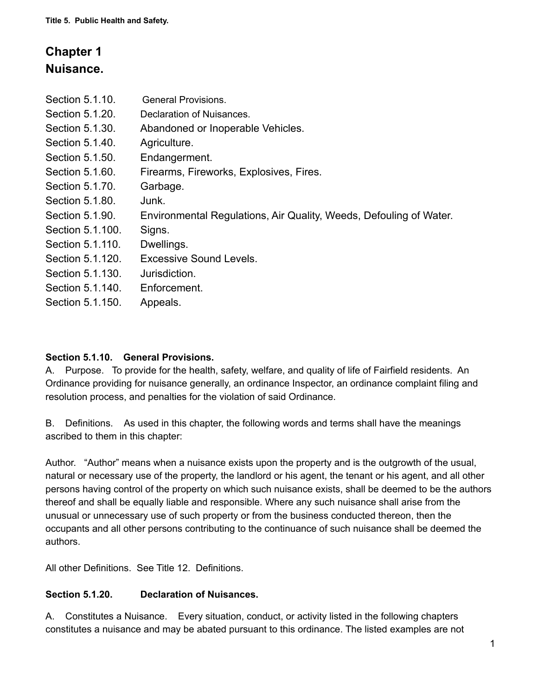# **Chapter 1 Nuisance.**

| Section 5.1.10.  | <b>General Provisions.</b>                                         |
|------------------|--------------------------------------------------------------------|
| Section 5.1.20.  | Declaration of Nuisances.                                          |
| Section 5.1.30.  | Abandoned or Inoperable Vehicles.                                  |
| Section 5.1.40.  | Agriculture.                                                       |
| Section 5.1.50.  | Endangerment.                                                      |
| Section 5.1.60.  | Firearms, Fireworks, Explosives, Fires.                            |
| Section 5.1.70.  | Garbage.                                                           |
| Section 5.1.80.  | Junk.                                                              |
| Section 5.1.90.  | Environmental Regulations, Air Quality, Weeds, Defouling of Water. |
| Section 5.1.100. | Signs.                                                             |
| Section 5.1.110. | Dwellings.                                                         |
| Section 5.1.120. | Excessive Sound Levels.                                            |
| Section 5.1.130. | Jurisdiction.                                                      |
| Section 5.1.140. | Enforcement.                                                       |
| Section 5.1.150. | Appeals.                                                           |

# **Section 5.1.10. General Provisions.**

A. Purpose. To provide for the health, safety, welfare, and quality of life of Fairfield residents. An Ordinance providing for nuisance generally, an ordinance Inspector, an ordinance complaint filing and resolution process, and penalties for the violation of said Ordinance.

B. Definitions. As used in this chapter, the following words and terms shall have the meanings ascribed to them in this chapter:

Author. "Author" means when a nuisance exists upon the property and is the outgrowth of the usual, natural or necessary use of the property, the landlord or his agent, the tenant or his agent, and all other persons having control of the property on which such nuisance exists, shall be deemed to be the authors thereof and shall be equally liable and responsible. Where any such nuisance shall arise from the unusual or unnecessary use of such property or from the business conducted thereon, then the occupants and all other persons contributing to the continuance of such nuisance shall be deemed the authors.

All other Definitions. See Title 12. Definitions.

# **Section 5.1.20. Declaration of Nuisances.**

A. Constitutes a Nuisance. Every situation, conduct, or activity listed in the following chapters constitutes a nuisance and may be abated pursuant to this ordinance. The listed examples are not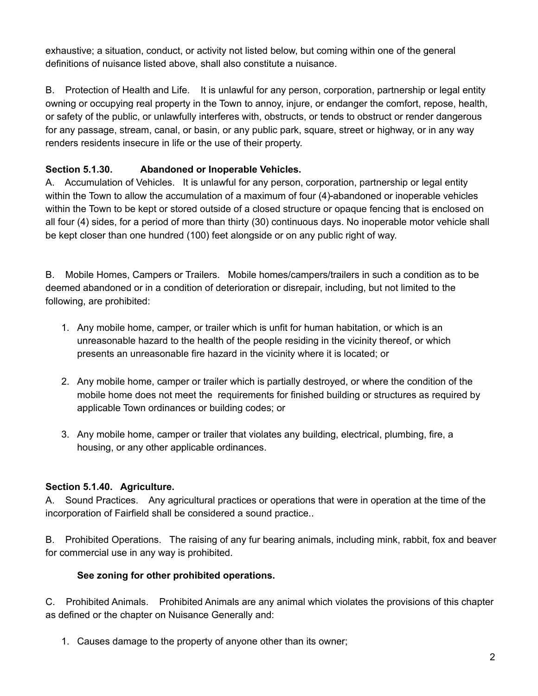exhaustive; a situation, conduct, or activity not listed below, but coming within one of the general definitions of nuisance listed above, shall also constitute a nuisance.

B. Protection of Health and Life. It is unlawful for any person, corporation, partnership or legal entity owning or occupying real property in the Town to annoy, injure, or endanger the comfort, repose, health, or safety of the public, or unlawfully interferes with, obstructs, or tends to obstruct or render dangerous for any passage, stream, canal, or basin, or any public park, square, street or highway, or in any way renders residents insecure in life or the use of their property.

# **Section 5.1.30. Abandoned or Inoperable Vehicles.**

A. Accumulation of Vehicles. It is unlawful for any person, corporation, partnership or legal entity within the Town to allow the accumulation of a maximum of four (4)-abandoned or inoperable vehicles within the Town to be kept or stored outside of a closed structure or opaque fencing that is enclosed on all four (4) sides, for a period of more than thirty (30) continuous days. No inoperable motor vehicle shall be kept closer than one hundred (100) feet alongside or on any public right of way.

B. Mobile Homes, Campers or Trailers. Mobile homes/campers/trailers in such a condition as to be deemed abandoned or in a condition of deterioration or disrepair, including, but not limited to the following, are prohibited:

- 1. Any mobile home, camper, or trailer which is unfit for human habitation, or which is an unreasonable hazard to the health of the people residing in the vicinity thereof, or which presents an unreasonable fire hazard in the vicinity where it is located; or
- 2. Any mobile home, camper or trailer which is partially destroyed, or where the condition of the mobile home does not meet the requirements for finished building or structures as required by applicable Town ordinances or building codes; or
- 3. Any mobile home, camper or trailer that violates any building, electrical, plumbing, fire, a housing, or any other applicable ordinances.

# **Section 5.1.40. Agriculture.**

A. Sound Practices. Any agricultural practices or operations that were in operation at the time of the incorporation of Fairfield shall be considered a sound practice..

B. Prohibited Operations. The raising of any fur bearing animals, including mink, rabbit, fox and beaver for commercial use in any way is prohibited.

# **See zoning for other prohibited operations.**

C. Prohibited Animals. Prohibited Animals are any animal which violates the provisions of this chapter as defined or the chapter on Nuisance Generally and:

1. Causes damage to the property of anyone other than its owner;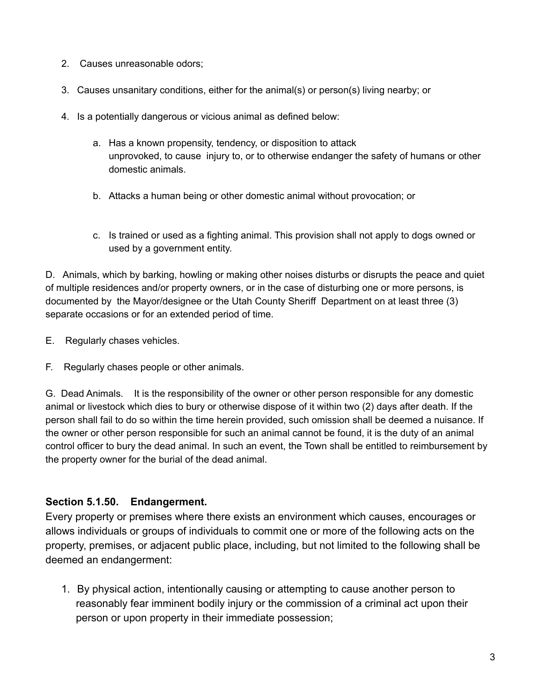- 2. Causes unreasonable odors;
- 3. Causes unsanitary conditions, either for the animal(s) or person(s) living nearby; or
- 4. Is a potentially dangerous or vicious animal as defined below:
	- a. Has a known propensity, tendency, or disposition to attack unprovoked, to cause injury to, or to otherwise endanger the safety of humans or other domestic animals.
	- b. Attacks a human being or other domestic animal without provocation; or
	- c. Is trained or used as a fighting animal. This provision shall not apply to dogs owned or used by a government entity.

D. Animals, which by barking, howling or making other noises disturbs or disrupts the peace and quiet of multiple residences and/or property owners, or in the case of disturbing one or more persons, is documented by the Mayor/designee or the Utah County Sheriff Department on at least three (3) separate occasions or for an extended period of time.

- E. Regularly chases vehicles.
- F. Regularly chases people or other animals.

G. Dead Animals. It is the responsibility of the owner or other person responsible for any domestic animal or livestock which dies to bury or otherwise dispose of it within two (2) days after death. If the person shall fail to do so within the time herein provided, such omission shall be deemed a nuisance. If the owner or other person responsible for such an animal cannot be found, it is the duty of an animal control officer to bury the dead animal. In such an event, the Town shall be entitled to reimbursement by the property owner for the burial of the dead animal.

# **Section 5.1.50. Endangerment.**

Every property or premises where there exists an environment which causes, encourages or allows individuals or groups of individuals to commit one or more of the following acts on the property, premises, or adjacent public place, including, but not limited to the following shall be deemed an endangerment:

1. By physical action, intentionally causing or attempting to cause another person to reasonably fear imminent bodily injury or the commission of a criminal act upon their person or upon property in their immediate possession;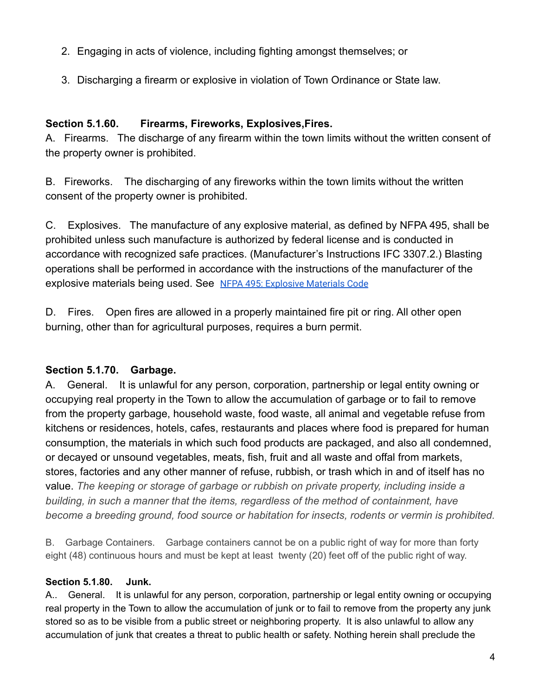- 2. Engaging in acts of violence, including fighting amongst themselves; or
- 3. Discharging a firearm or explosive in violation of Town Ordinance or State law.

# **Section 5.1.60. Firearms, Fireworks, Explosives,Fires.**

A. Firearms. The discharge of any firearm within the town limits without the written consent of the property owner is prohibited.

B. Fireworks. The discharging of any fireworks within the town limits without the written consent of the property owner is prohibited.

C. Explosives. The manufacture of any explosive material, as defined by NFPA 495, shall be prohibited unless such manufacture is authorized by federal license and is conducted in accordance with recognized safe practices. (Manufacturer's Instructions IFC 3307.2.) Blasting operations shall be performed in accordance with the instructions of the manufacturer of the explosive materials being used. See [NFPA 495: Explosive](https://www.nfpa.org/codes-and-standards/all-codes-and-standards/list-of-codes-and-standards/detail?code=495) Materials Code

D. Fires. Open fires are allowed in a properly maintained fire pit or ring. All other open burning, other than for agricultural purposes, requires a burn permit.

# **Section 5.1.70. Garbage.**

A. General. It is unlawful for any person, corporation, partnership or legal entity owning or occupying real property in the Town to allow the accumulation of garbage or to fail to remove from the property garbage, household waste, food waste, all animal and vegetable refuse from kitchens or residences, hotels, cafes, restaurants and places where food is prepared for human consumption, the materials in which such food products are packaged, and also all condemned, or decayed or unsound vegetables, meats, fish, fruit and all waste and offal from markets, stores, factories and any other manner of refuse, rubbish, or trash which in and of itself has no value. *The keeping or storage of garbage or rubbish on private property, including inside a building, in such a manner that the items, regardless of the method of containment, have become a breeding ground, food source or habitation for insects, rodents or vermin is prohibited.*

B. Garbage Containers. Garbage containers cannot be on a public right of way for more than forty eight (48) continuous hours and must be kept at least twenty (20) feet off of the public right of way.

# **Section 5.1.80. Junk.**

A.. General. It is unlawful for any person, corporation, partnership or legal entity owning or occupying real property in the Town to allow the accumulation of junk or to fail to remove from the property any junk stored so as to be visible from a public street or neighboring property. It is also unlawful to allow any accumulation of junk that creates a threat to public health or safety. Nothing herein shall preclude the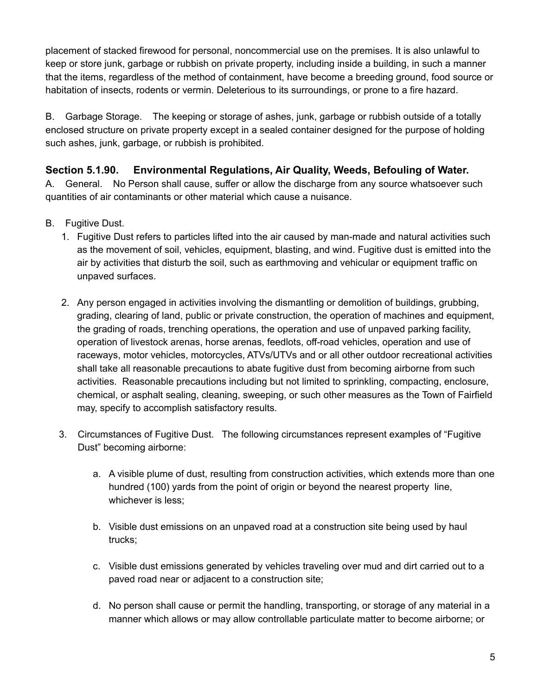placement of stacked firewood for personal, noncommercial use on the premises. It is also unlawful to keep or store junk, garbage or rubbish on private property, including inside a building, in such a manner that the items, regardless of the method of containment, have become a breeding ground, food source or habitation of insects, rodents or vermin. Deleterious to its surroundings, or prone to a fire hazard.

B. Garbage Storage. The keeping or storage of ashes, junk, garbage or rubbish outside of a totally enclosed structure on private property except in a sealed container designed for the purpose of holding such ashes, junk, garbage, or rubbish is prohibited.

# **Section 5.1.90. Environmental Regulations, Air Quality, Weeds, Befouling of Water.**

A. General. No Person shall cause, suffer or allow the discharge from any source whatsoever such quantities of air contaminants or other material which cause a nuisance.

- B. Fugitive Dust.
	- 1. Fugitive Dust refers to particles lifted into the air caused by man-made and natural activities such as the movement of soil, vehicles, equipment, blasting, and wind. Fugitive dust is emitted into the air by activities that disturb the soil, such as earthmoving and vehicular or equipment traffic on unpaved surfaces.
	- 2. Any person engaged in activities involving the dismantling or demolition of buildings, grubbing, grading, clearing of land, public or private construction, the operation of machines and equipment, the grading of roads, trenching operations, the operation and use of unpaved parking facility, operation of livestock arenas, horse arenas, feedlots, off-road vehicles, operation and use of raceways, motor vehicles, motorcycles, ATVs/UTVs and or all other outdoor recreational activities shall take all reasonable precautions to abate fugitive dust from becoming airborne from such activities. Reasonable precautions including but not limited to sprinkling, compacting, enclosure, chemical, or asphalt sealing, cleaning, sweeping, or such other measures as the Town of Fairfield may, specify to accomplish satisfactory results.
	- 3. Circumstances of Fugitive Dust. The following circumstances represent examples of "Fugitive Dust" becoming airborne:
		- a. A visible plume of dust, resulting from construction activities, which extends more than one hundred (100) yards from the point of origin or beyond the nearest property line, whichever is less;
		- b. Visible dust emissions on an unpaved road at a construction site being used by haul trucks;
		- c. Visible dust emissions generated by vehicles traveling over mud and dirt carried out to a paved road near or adjacent to a construction site;
		- d. No person shall cause or permit the handling, transporting, or storage of any material in a manner which allows or may allow controllable particulate matter to become airborne; or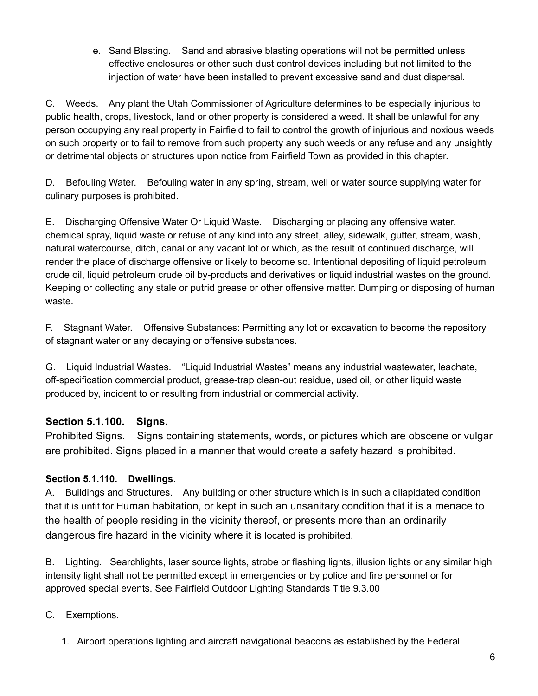e. Sand Blasting. Sand and abrasive blasting operations will not be permitted unless effective enclosures or other such dust control devices including but not limited to the injection of water have been installed to prevent excessive sand and dust dispersal.

C. Weeds. Any plant the Utah Commissioner of Agriculture determines to be especially injurious to public health, crops, livestock, land or other property is considered a weed. It shall be unlawful for any person occupying any real property in Fairfield to fail to control the growth of injurious and noxious weeds on such property or to fail to remove from such property any such weeds or any refuse and any unsightly or detrimental objects or structures upon notice from Fairfield Town as provided in this chapter.

D. Befouling Water. Befouling water in any spring, stream, well or water source supplying water for culinary purposes is prohibited.

E. Discharging Offensive Water Or Liquid Waste. Discharging or placing any offensive water, chemical spray, liquid waste or refuse of any kind into any street, alley, sidewalk, gutter, stream, wash, natural watercourse, ditch, canal or any vacant lot or which, as the result of continued discharge, will render the place of discharge offensive or likely to become so. Intentional depositing of liquid petroleum crude oil, liquid petroleum crude oil by-products and derivatives or liquid industrial wastes on the ground. Keeping or collecting any stale or putrid grease or other offensive matter. Dumping or disposing of human waste.

F. Stagnant Water. Offensive Substances: Permitting any lot or excavation to become the repository of stagnant water or any decaying or offensive substances.

G. Liquid Industrial Wastes. "Liquid Industrial Wastes" means any industrial wastewater, leachate, off-specification commercial product, grease-trap clean-out residue, used oil, or other liquid waste produced by, incident to or resulting from industrial or commercial activity.

# **Section 5.1.100. Signs.**

Prohibited Signs. Signs containing statements, words, or pictures which are obscene or vulgar are prohibited. Signs placed in a manner that would create a safety hazard is prohibited.

# **Section 5.1.110. Dwellings.**

A. Buildings and Structures. Any building or other structure which is in such a dilapidated condition that it is unfit for Human habitation, or kept in such an unsanitary condition that it is a menace to the health of people residing in the vicinity thereof, or presents more than an ordinarily dangerous fire hazard in the vicinity where it is located is prohibited.

B. Lighting. Searchlights, laser source lights, strobe or flashing lights, illusion lights or any similar high intensity light shall not be permitted except in emergencies or by police and fire personnel or for approved special events. See Fairfield Outdoor Lighting Standards Title 9.3.00

- C. Exemptions.
	- 1. Airport operations lighting and aircraft navigational beacons as established by the Federal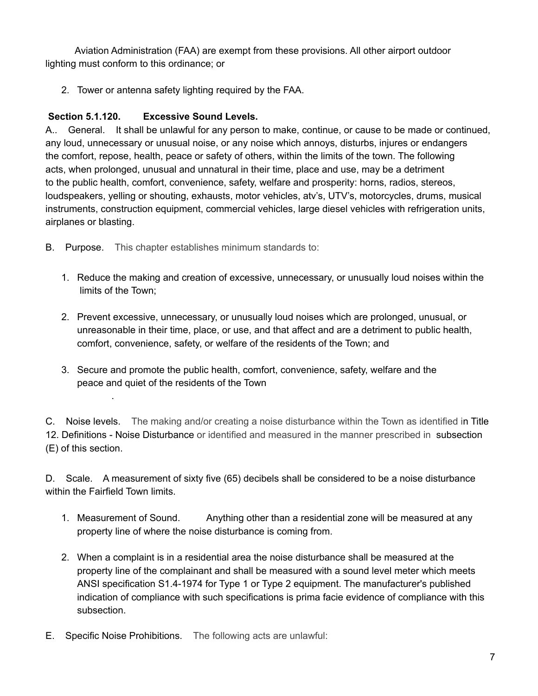Aviation Administration (FAA) are exempt from these provisions. All other airport outdoor lighting must conform to this ordinance; or

2. Tower or antenna safety lighting required by the FAA.

# **Section 5.1.120. Excessive Sound Levels.**

.

A.. General. It shall be unlawful for any person to make, continue, or cause to be made or continued, any loud, unnecessary or unusual noise, or any noise which annoys, disturbs, injures or endangers the comfort, repose, health, peace or safety of others, within the limits of the town. The following acts, when prolonged, unusual and unnatural in their time, place and use, may be a detriment to the public health, comfort, convenience, safety, welfare and prosperity: horns, radios, stereos, loudspeakers, yelling or shouting, exhausts, motor vehicles, atv's, UTV's, motorcycles, drums, musical instruments, construction equipment, commercial vehicles, large diesel vehicles with refrigeration units, airplanes or blasting.

- B. Purpose. This chapter establishes minimum standards to:
	- 1. Reduce the making and creation of excessive, unnecessary, or unusually loud noises within the limits of the Town;
	- 2. Prevent excessive, unnecessary, or unusually loud noises which are prolonged, unusual, or unreasonable in their time, place, or use, and that affect and are a detriment to public health, comfort, convenience, safety, or welfare of the residents of the Town; and
	- 3. Secure and promote the public health, comfort, convenience, safety, welfare and the peace and quiet of the residents of the Town

C. Noise levels. The making and/or creating a noise disturbance within the Town as identified in Title 12. Definitions - Noise Disturbance or identified and measured in the manner prescribed in subsection (E) of this section.

D. Scale. A measurement of sixty five (65) decibels shall be considered to be a noise disturbance within the Fairfield Town limits.

- 1. Measurement of Sound. Anything other than a residential zone will be measured at any property line of where the noise disturbance is coming from.
- 2. When a complaint is in a residential area the noise disturbance shall be measured at the property line of the complainant and shall be measured with a sound level meter which meets ANSI specification S1.4-1974 for Type 1 or Type 2 equipment. The manufacturer's published indication of compliance with such specifications is prima facie evidence of compliance with this subsection.
- E. Specific Noise Prohibitions. The following acts are unlawful: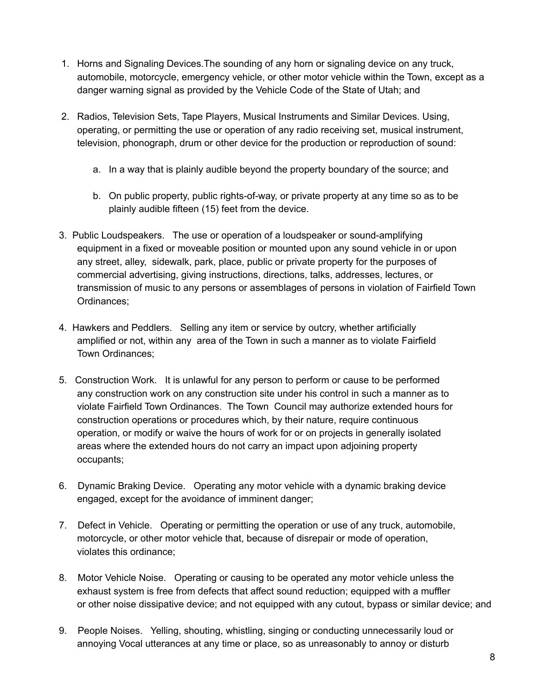- 1. Horns and Signaling Devices.The sounding of any horn or signaling device on any truck, automobile, motorcycle, emergency vehicle, or other motor vehicle within the Town, except as a danger warning signal as provided by the Vehicle Code of the State of Utah; and
- 2. Radios, Television Sets, Tape Players, Musical Instruments and Similar Devices. Using, operating, or permitting the use or operation of any radio receiving set, musical instrument, television, phonograph, drum or other device for the production or reproduction of sound:
	- a. In a way that is plainly audible beyond the property boundary of the source; and
	- b. On public property, public rights-of-way, or private property at any time so as to be plainly audible fifteen (15) feet from the device.
- 3. Public Loudspeakers. The use or operation of a loudspeaker or sound-amplifying equipment in a fixed or moveable position or mounted upon any sound vehicle in or upon any street, alley, sidewalk, park, place, public or private property for the purposes of commercial advertising, giving instructions, directions, talks, addresses, lectures, or transmission of music to any persons or assemblages of persons in violation of Fairfield Town Ordinances;
- 4. Hawkers and Peddlers. Selling any item or service by outcry, whether artificially amplified or not, within any area of the Town in such a manner as to violate Fairfield Town Ordinances;
- 5. Construction Work. It is unlawful for any person to perform or cause to be performed any construction work on any construction site under his control in such a manner as to violate Fairfield Town Ordinances. The Town Council may authorize extended hours for construction operations or procedures which, by their nature, require continuous operation, or modify or waive the hours of work for or on projects in generally isolated areas where the extended hours do not carry an impact upon adjoining property occupants;
- 6. Dynamic Braking Device. Operating any motor vehicle with a dynamic braking device engaged, except for the avoidance of imminent danger;
- 7. Defect in Vehicle. Operating or permitting the operation or use of any truck, automobile, motorcycle, or other motor vehicle that, because of disrepair or mode of operation, violates this ordinance;
- 8. Motor Vehicle Noise. Operating or causing to be operated any motor vehicle unless the exhaust system is free from defects that affect sound reduction; equipped with a muffler or other noise dissipative device; and not equipped with any cutout, bypass or similar device; and
- 9. People Noises. Yelling, shouting, whistling, singing or conducting unnecessarily loud or annoying Vocal utterances at any time or place, so as unreasonably to annoy or disturb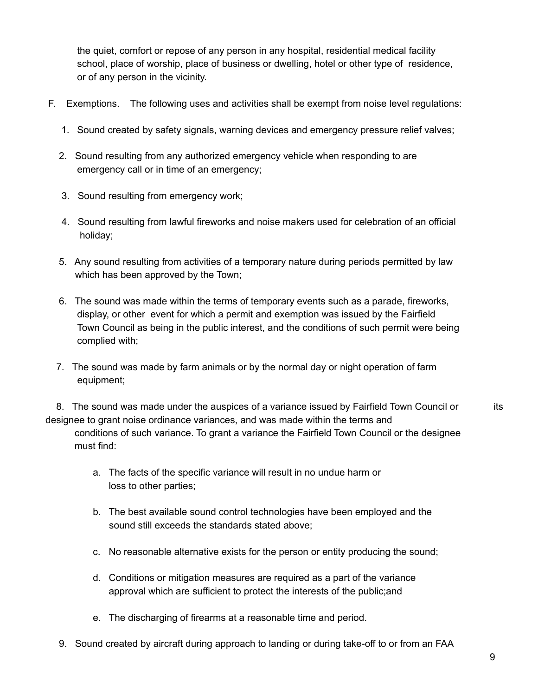the quiet, comfort or repose of any person in any hospital, residential medical facility school, place of worship, place of business or dwelling, hotel or other type of residence, or of any person in the vicinity.

- F. Exemptions. The following uses and activities shall be exempt from noise level regulations:
	- 1. Sound created by safety signals, warning devices and emergency pressure relief valves;
	- 2. Sound resulting from any authorized emergency vehicle when responding to are emergency call or in time of an emergency;
	- 3. Sound resulting from emergency work;
	- 4. Sound resulting from lawful fireworks and noise makers used for celebration of an official holiday;
	- 5. Any sound resulting from activities of a temporary nature during periods permitted by law which has been approved by the Town;
	- 6. The sound was made within the terms of temporary events such as a parade, fireworks, display, or other event for which a permit and exemption was issued by the Fairfield Town Council as being in the public interest, and the conditions of such permit were being complied with;
	- 7. The sound was made by farm animals or by the normal day or night operation of farm equipment;

8. The sound was made under the auspices of a variance issued by Fairfield Town Council or its designee to grant noise ordinance variances, and was made within the terms and conditions of such variance. To grant a variance the Fairfield Town Council or the designee must find:

- a. The facts of the specific variance will result in no undue harm or loss to other parties;
- b. The best available sound control technologies have been employed and the sound still exceeds the standards stated above;
- c. No reasonable alternative exists for the person or entity producing the sound;
- d. Conditions or mitigation measures are required as a part of the variance approval which are sufficient to protect the interests of the public;and
- e. The discharging of firearms at a reasonable time and period.
- 9. Sound created by aircraft during approach to landing or during take-off to or from an FAA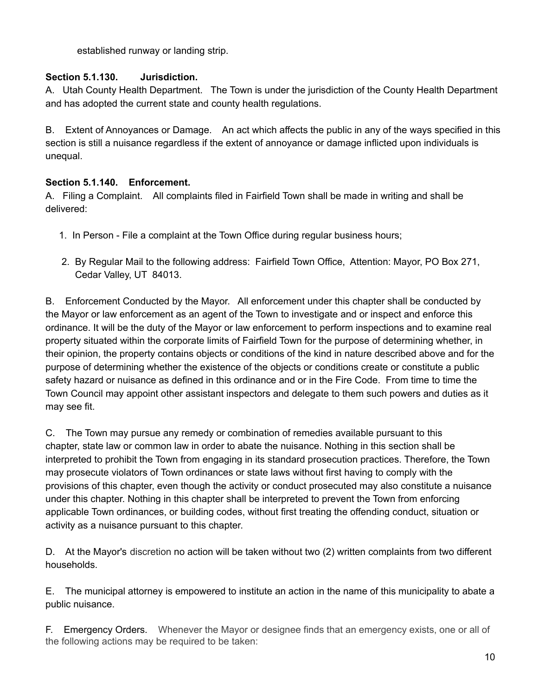established runway or landing strip.

#### **Section 5.1.130. Jurisdiction.**

A. Utah County Health Department. The Town is under the jurisdiction of the County Health Department and has adopted the current state and county health regulations.

B. Extent of Annoyances or Damage. An act which affects the public in any of the ways specified in this section is still a nuisance regardless if the extent of annoyance or damage inflicted upon individuals is unequal.

#### **Section 5.1.140. Enforcement.**

A. Filing a Complaint. All complaints filed in Fairfield Town shall be made in writing and shall be delivered:

- 1. In Person File a complaint at the Town Office during regular business hours;
- 2. By Regular Mail to the following address: Fairfield Town Office, Attention: Mayor, PO Box 271, Cedar Valley, UT 84013.

B. Enforcement Conducted by the Mayor. All enforcement under this chapter shall be conducted by the Mayor or law enforcement as an agent of the Town to investigate and or inspect and enforce this ordinance. It will be the duty of the Mayor or law enforcement to perform inspections and to examine real property situated within the corporate limits of Fairfield Town for the purpose of determining whether, in their opinion, the property contains objects or conditions of the kind in nature described above and for the purpose of determining whether the existence of the objects or conditions create or constitute a public safety hazard or nuisance as defined in this ordinance and or in the Fire Code. From time to time the Town Council may appoint other assistant inspectors and delegate to them such powers and duties as it may see fit.

C. The Town may pursue any remedy or combination of remedies available pursuant to this chapter, state law or common law in order to abate the nuisance. Nothing in this section shall be interpreted to prohibit the Town from engaging in its standard prosecution practices. Therefore, the Town may prosecute violators of Town ordinances or state laws without first having to comply with the provisions of this chapter, even though the activity or conduct prosecuted may also constitute a nuisance under this chapter. Nothing in this chapter shall be interpreted to prevent the Town from enforcing applicable Town ordinances, or building codes, without first treating the offending conduct, situation or activity as a nuisance pursuant to this chapter.

D. At the Mayor's discretion no action will be taken without two (2) written complaints from two different households.

E. The municipal attorney is empowered to institute an action in the name of this municipality to abate a public nuisance.

F. Emergency Orders. Whenever the Mayor or designee finds that an emergency exists, one or all of the following actions may be required to be taken: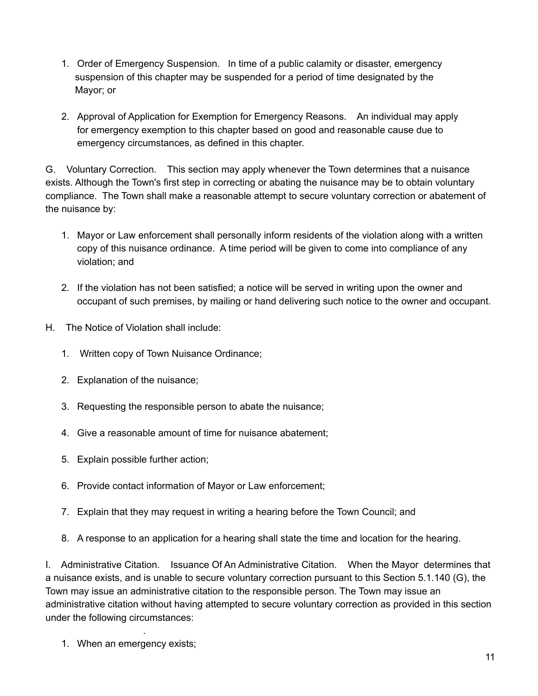- 1. Order of Emergency Suspension. In time of a public calamity or disaster, emergency suspension of this chapter may be suspended for a period of time designated by the Mayor; or
- 2. Approval of Application for Exemption for Emergency Reasons. An individual may apply for emergency exemption to this chapter based on good and reasonable cause due to emergency circumstances, as defined in this chapter.

G. Voluntary Correction. This section may apply whenever the Town determines that a nuisance exists. Although the Town's first step in correcting or abating the nuisance may be to obtain voluntary compliance. The Town shall make a reasonable attempt to secure voluntary correction or abatement of the nuisance by:

- 1. Mayor or Law enforcement shall personally inform residents of the violation along with a written copy of this nuisance ordinance. A time period will be given to come into compliance of any violation; and
- 2. If the violation has not been satisfied; a notice will be served in writing upon the owner and occupant of such premises, by mailing or hand delivering such notice to the owner and occupant.
- H. The Notice of Violation shall include:
	- 1. Written copy of Town Nuisance Ordinance;
	- 2. Explanation of the nuisance;
	- 3. Requesting the responsible person to abate the nuisance;
	- 4. Give a reasonable amount of time for nuisance abatement;
	- 5. Explain possible further action;
	- 6. Provide contact information of Mayor or Law enforcement;
	- 7. Explain that they may request in writing a hearing before the Town Council; and
	- 8. A response to an application for a hearing shall state the time and location for the hearing.

I. Administrative Citation. Issuance Of An Administrative Citation. When the Mayor determines that a nuisance exists, and is unable to secure voluntary correction pursuant to this Section 5.1.140 (G), the Town may issue an administrative citation to the responsible person. The Town may issue an administrative citation without having attempted to secure voluntary correction as provided in this section under the following circumstances:

1. When an emergency exists;

.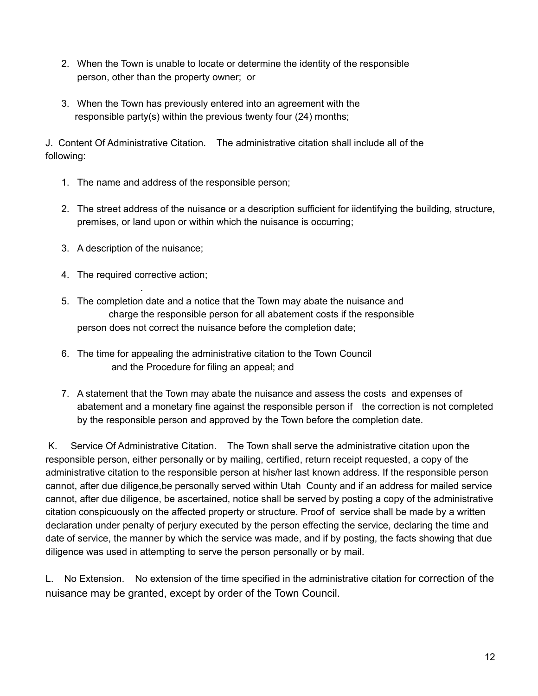- 2. When the Town is unable to locate or determine the identity of the responsible person, other than the property owner; or
- 3. When the Town has previously entered into an agreement with the responsible party(s) within the previous twenty four (24) months;

J. Content Of Administrative Citation. The administrative citation shall include all of the following:

- 1. The name and address of the responsible person;
- 2. The street address of the nuisance or a description sufficient for iidentifying the building, structure, premises, or land upon or within which the nuisance is occurring;
- 3. A description of the nuisance;
- 4. The required corrective action;

.

- 5. The completion date and a notice that the Town may abate the nuisance and charge the responsible person for all abatement costs if the responsible person does not correct the nuisance before the completion date;
- 6. The time for appealing the administrative citation to the Town Council and the Procedure for filing an appeal; and
- 7. A statement that the Town may abate the nuisance and assess the costs and expenses of abatement and a monetary fine against the responsible person if the correction is not completed by the responsible person and approved by the Town before the completion date.

K. Service Of Administrative Citation. The Town shall serve the administrative citation upon the responsible person, either personally or by mailing, certified, return receipt requested, a copy of the administrative citation to the responsible person at his/her last known address. If the responsible person cannot, after due diligence,be personally served within Utah County and if an address for mailed service cannot, after due diligence, be ascertained, notice shall be served by posting a copy of the administrative citation conspicuously on the affected property or structure. Proof of service shall be made by a written declaration under penalty of perjury executed by the person effecting the service, declaring the time and date of service, the manner by which the service was made, and if by posting, the facts showing that due diligence was used in attempting to serve the person personally or by mail.

L. No Extension. No extension of the time specified in the administrative citation for correction of the nuisance may be granted, except by order of the Town Council.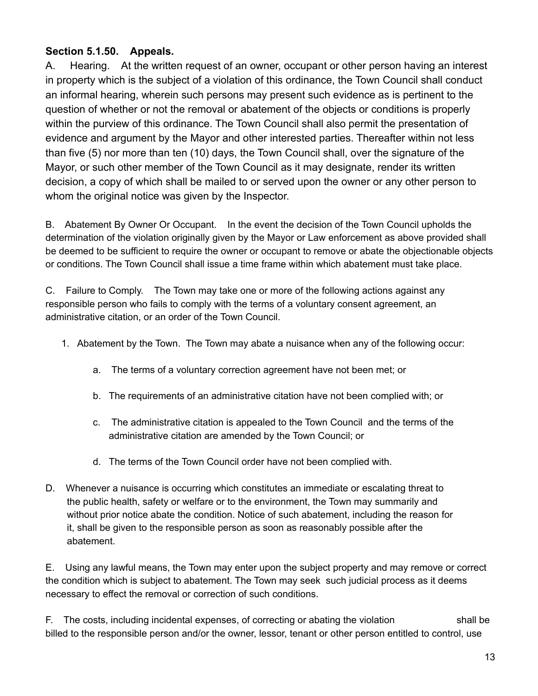# **Section 5.1.50. Appeals.**

A. Hearing. At the written request of an owner, occupant or other person having an interest in property which is the subject of a violation of this ordinance, the Town Council shall conduct an informal hearing, wherein such persons may present such evidence as is pertinent to the question of whether or not the removal or abatement of the objects or conditions is properly within the purview of this ordinance. The Town Council shall also permit the presentation of evidence and argument by the Mayor and other interested parties. Thereafter within not less than five (5) nor more than ten (10) days, the Town Council shall, over the signature of the Mayor, or such other member of the Town Council as it may designate, render its written decision, a copy of which shall be mailed to or served upon the owner or any other person to whom the original notice was given by the Inspector.

B. Abatement By Owner Or Occupant. In the event the decision of the Town Council upholds the determination of the violation originally given by the Mayor or Law enforcement as above provided shall be deemed to be sufficient to require the owner or occupant to remove or abate the objectionable objects or conditions. The Town Council shall issue a time frame within which abatement must take place.

C. Failure to Comply. The Town may take one or more of the following actions against any responsible person who fails to comply with the terms of a voluntary consent agreement, an administrative citation, or an order of the Town Council.

- 1. Abatement by the Town. The Town may abate a nuisance when any of the following occur:
	- a. The terms of a voluntary correction agreement have not been met; or
	- b. The requirements of an administrative citation have not been complied with; or
	- c. The administrative citation is appealed to the Town Council and the terms of the administrative citation are amended by the Town Council; or
	- d. The terms of the Town Council order have not been complied with.
- D. Whenever a nuisance is occurring which constitutes an immediate or escalating threat to the public health, safety or welfare or to the environment, the Town may summarily and without prior notice abate the condition. Notice of such abatement, including the reason for it, shall be given to the responsible person as soon as reasonably possible after the abatement.

E. Using any lawful means, the Town may enter upon the subject property and may remove or correct the condition which is subject to abatement. The Town may seek such judicial process as it deems necessary to effect the removal or correction of such conditions.

F. The costs, including incidental expenses, of correcting or abating the violation shall be billed to the responsible person and/or the owner, lessor, tenant or other person entitled to control, use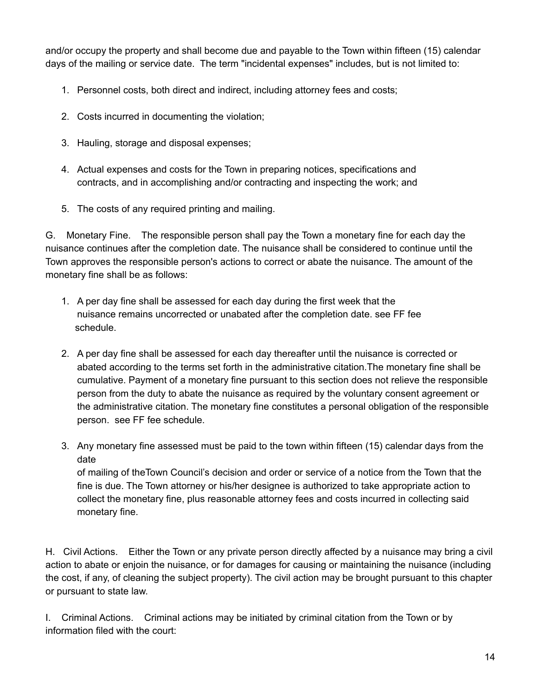and/or occupy the property and shall become due and payable to the Town within fifteen (15) calendar days of the mailing or service date. The term "incidental expenses" includes, but is not limited to:

- 1. Personnel costs, both direct and indirect, including attorney fees and costs;
- 2. Costs incurred in documenting the violation;
- 3. Hauling, storage and disposal expenses;
- 4. Actual expenses and costs for the Town in preparing notices, specifications and contracts, and in accomplishing and/or contracting and inspecting the work; and
- 5. The costs of any required printing and mailing.

G. Monetary Fine. The responsible person shall pay the Town a monetary fine for each day the nuisance continues after the completion date. The nuisance shall be considered to continue until the Town approves the responsible person's actions to correct or abate the nuisance. The amount of the monetary fine shall be as follows:

- 1. A per day fine shall be assessed for each day during the first week that the nuisance remains uncorrected or unabated after the completion date. see FF fee schedule.
- 2. A per day fine shall be assessed for each day thereafter until the nuisance is corrected or abated according to the terms set forth in the administrative citation.The monetary fine shall be cumulative. Payment of a monetary fine pursuant to this section does not relieve the responsible person from the duty to abate the nuisance as required by the voluntary consent agreement or the administrative citation. The monetary fine constitutes a personal obligation of the responsible person. see FF fee schedule.
- 3. Any monetary fine assessed must be paid to the town within fifteen (15) calendar days from the date

of mailing of theTown Council's decision and order or service of a notice from the Town that the fine is due. The Town attorney or his/her designee is authorized to take appropriate action to collect the monetary fine, plus reasonable attorney fees and costs incurred in collecting said monetary fine.

H. Civil Actions. Either the Town or any private person directly affected by a nuisance may bring a civil action to abate or enjoin the nuisance, or for damages for causing or maintaining the nuisance (including the cost, if any, of cleaning the subject property). The civil action may be brought pursuant to this chapter or pursuant to state law.

I. Criminal Actions. Criminal actions may be initiated by criminal citation from the Town or by information filed with the court: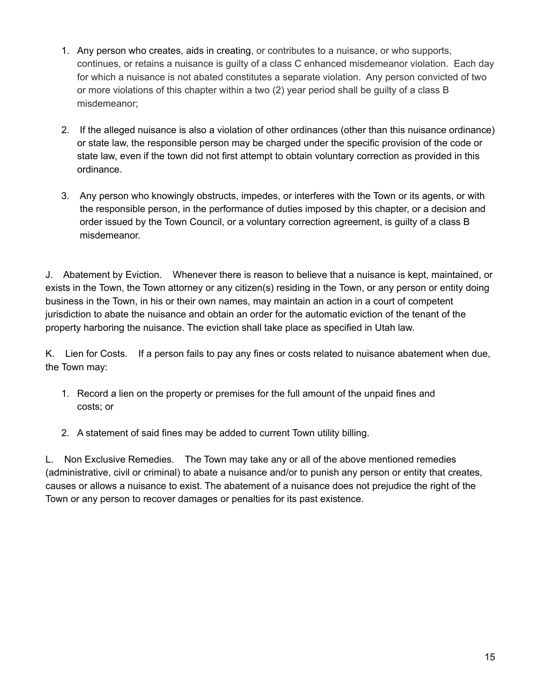- 1. Any person who creates, aids in creating, or contributes to a nuisance, or who supports, continues, or retains a nuisance is guilty of a class C enhanced misdemeanor violation. Each day for which a nuisance is not abated constitutes a separate violation. Any person convicted of two or more violations of this chapter within a two (2) year period shall be guilty of a class B misdemeanor;
- 2. If the alleged nuisance is also a violation of other ordinances (other than this nuisance ordinance) or state law, the responsible person may be charged under the specific provision of the code or state law, even if the town did not first attempt to obtain voluntary correction as provided in this ordinance.
- 3. Any person who knowingly obstructs, impedes, or interferes with the Town or its agents, or with the responsible person, in the performance of duties imposed by this chapter, or a decision and order issued by the Town Council, or a voluntary correction agreement, is guilty of a class B misdemeanor.

J. Abatement by Eviction. Whenever there is reason to believe that a nuisance is kept, maintained, or exists in the Town, the Town attorney or any citizen(s) residing in the Town, or any person or entity doing business in the Town, in his or their own names, may maintain an action in a court of competent jurisdiction to abate the nuisance and obtain an order for the automatic eviction of the tenant of the property harboring the nuisance. The eviction shall take place as specified in Utah law.

K. Lien for Costs. If a person fails to pay any fines or costs related to nuisance abatement when due, the Town may:

- 1. Record a lien on the property or premises for the full amount of the unpaid fines and costs; or
- 2. A statement of said fines may be added to current Town utility billing.

L. Non Exclusive Remedies. The Town may take any or all of the above mentioned remedies (administrative, civil or criminal) to abate a nuisance and/or to punish any person or entity that creates, causes or allows a nuisance to exist. The abatement of a nuisance does not prejudice the right of the Town or any person to recover damages or penalties for its past existence.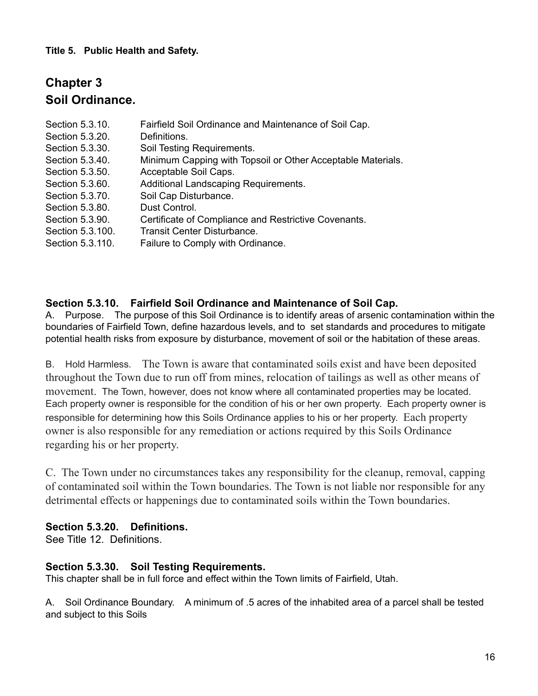#### **Title 5. Public Health and Safety.**

# **Chapter 3 Soil Ordinance.**

| Section 5.3.10.  | Fairfield Soil Ordinance and Maintenance of Soil Cap.       |
|------------------|-------------------------------------------------------------|
| Section 5.3.20.  | Definitions.                                                |
| Section 5.3.30.  | Soil Testing Requirements.                                  |
| Section 5.3.40.  | Minimum Capping with Topsoil or Other Acceptable Materials. |
| Section 5.3.50.  | Acceptable Soil Caps.                                       |
| Section 5.3.60.  | Additional Landscaping Requirements.                        |
| Section 5.3.70.  | Soil Cap Disturbance.                                       |
| Section 5.3.80.  | Dust Control.                                               |
| Section 5.3.90.  | Certificate of Compliance and Restrictive Covenants.        |
| Section 5.3.100. | Transit Center Disturbance.                                 |
| Section 5.3.110. | Failure to Comply with Ordinance.                           |

#### **Section 5.3.10. Fairfield Soil Ordinance and Maintenance of Soil Cap.**

A. Purpose. The purpose of this Soil Ordinance is to identify areas of arsenic contamination within the boundaries of Fairfield Town, define hazardous levels, and to set standards and procedures to mitigate potential health risks from exposure by disturbance, movement of soil or the habitation of these areas.

B. Hold Harmless. The Town is aware that contaminated soils exist and have been deposited throughout the Town due to run off from mines, relocation of tailings as well as other means of movement. The Town, however, does not know where all contaminated properties may be located. Each property owner is responsible for the condition of his or her own property. Each property owner is responsible for determining how this Soils Ordinance applies to his or her property. Each property owner is also responsible for any remediation or actions required by this Soils Ordinance regarding his or her property.

C. The Town under no circumstances takes any responsibility for the cleanup, removal, capping of contaminated soil within the Town boundaries. The Town is not liable nor responsible for any detrimental effects or happenings due to contaminated soils within the Town boundaries.

#### **Section 5.3.20. Definitions.**

See Title 12. Definitions.

#### **Section 5.3.30. Soil Testing Requirements.**

This chapter shall be in full force and effect within the Town limits of Fairfield, Utah.

A. Soil Ordinance Boundary. A minimum of .5 acres of the inhabited area of a parcel shall be tested and subject to this Soils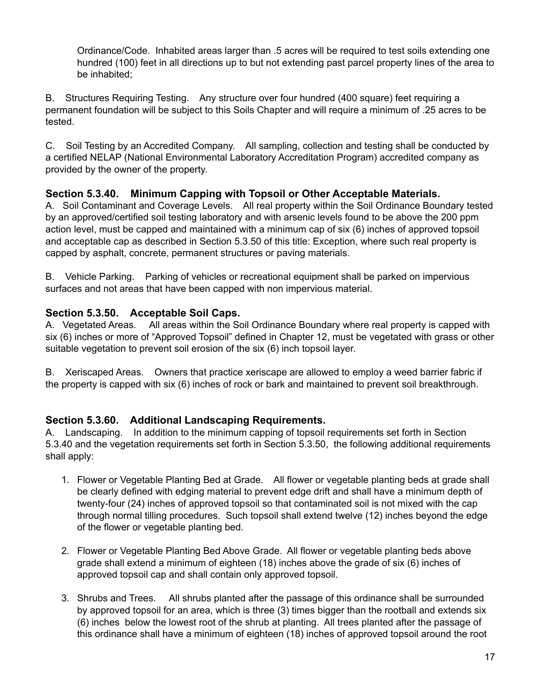Ordinance/Code. Inhabited areas larger than .5 acres will be required to test soils extending one hundred (100) feet in all directions up to but not extending past parcel property lines of the area to be inhabited;

B. Structures Requiring Testing. Any structure over four hundred (400 square) feet requiring a permanent foundation will be subject to this Soils Chapter and will require a minimum of .25 acres to be tested.

C. Soil Testing by an Accredited Company. All sampling, collection and testing shall be conducted by a certified NELAP (National Environmental Laboratory Accreditation Program) accredited company as provided by the owner of the property.

# **Section 5.3.40. Minimum Capping with Topsoil or Other Acceptable Materials.**

A. Soil Contaminant and Coverage Levels. All real property within the Soil Ordinance Boundary tested by an approved/certified soil testing laboratory and with arsenic levels found to be above the 200 ppm action level, must be capped and maintained with a minimum cap of six (6) inches of approved topsoil and acceptable cap as described in Section 5.3.50 of this title: Exception, where such real property is capped by asphalt, concrete, permanent structures or paving materials.

B. Vehicle Parking. Parking of vehicles or recreational equipment shall be parked on impervious surfaces and not areas that have been capped with non impervious material.

# **Section 5.3.50. Acceptable Soil Caps.**

A. Vegetated Areas. All areas within the Soil Ordinance Boundary where real property is capped with six (6) inches or more of "Approved Topsoil" defined in Chapter 12, must be vegetated with grass or other suitable vegetation to prevent soil erosion of the six (6) inch topsoil layer.

B. Xeriscaped Areas. Owners that practice xeriscape are allowed to employ a weed barrier fabric if the property is capped with six (6) inches of rock or bark and maintained to prevent soil breakthrough.

# **Section 5.3.60. Additional Landscaping Requirements.**

A. Landscaping. In addition to the minimum capping of topsoil requirements set forth in Section 5.3.40 and the vegetation requirements set forth in Section 5.3.50, the following additional requirements shall apply:

- 1. Flower or Vegetable Planting Bed at Grade. All flower or vegetable planting beds at grade shall be clearly defined with edging material to prevent edge drift and shall have a minimum depth of twenty-four (24) inches of approved topsoil so that contaminated soil is not mixed with the cap through normal tilling procedures. Such topsoil shall extend twelve (12) inches beyond the edge of the flower or vegetable planting bed.
- 2. Flower or Vegetable Planting Bed Above Grade. All flower or vegetable planting beds above grade shall extend a minimum of eighteen (18) inches above the grade of six (6) inches of approved topsoil cap and shall contain only approved topsoil.
- 3. Shrubs and Trees. All shrubs planted after the passage of this ordinance shall be surrounded by approved topsoil for an area, which is three (3) times bigger than the rootball and extends six (6) inches below the lowest root of the shrub at planting. All trees planted after the passage of this ordinance shall have a minimum of eighteen (18) inches of approved topsoil around the root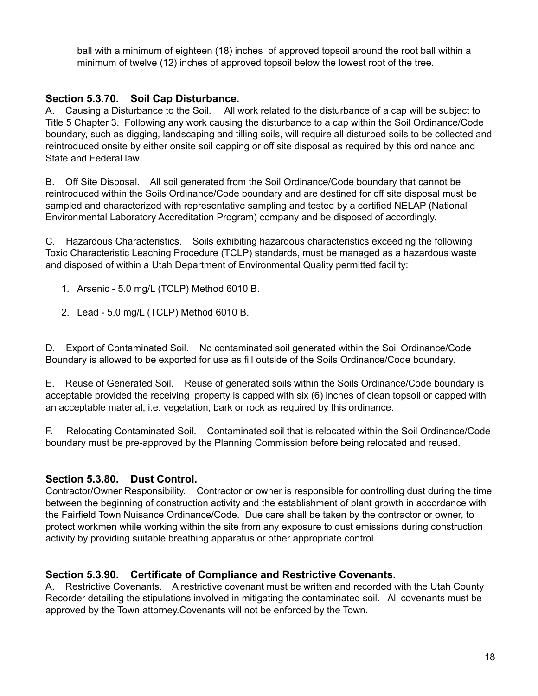ball with a minimum of eighteen (18) inches of approved topsoil around the root ball within a minimum of twelve (12) inches of approved topsoil below the lowest root of the tree.

# **Section 5.3.70. Soil Cap Disturbance.**

A. Causing a Disturbance to the Soil. All work related to the disturbance of a cap will be subject to Title 5 Chapter 3. Following any work causing the disturbance to a cap within the Soil Ordinance/Code boundary, such as digging, landscaping and tilling soils, will require all disturbed soils to be collected and reintroduced onsite by either onsite soil capping or off site disposal as required by this ordinance and State and Federal law.

B. Off Site Disposal. All soil generated from the Soil Ordinance/Code boundary that cannot be reintroduced within the Soils Ordinance/Code boundary and are destined for off site disposal must be sampled and characterized with representative sampling and tested by a certified NELAP (National Environmental Laboratory Accreditation Program) company and be disposed of accordingly.

C. Hazardous Characteristics. Soils exhibiting hazardous characteristics exceeding the following Toxic Characteristic Leaching Procedure (TCLP) standards, must be managed as a hazardous waste and disposed of within a Utah Department of Environmental Quality permitted facility:

- 1. Arsenic 5.0 mg/L (TCLP) Method 6010 B.
- 2. Lead 5.0 mg/L (TCLP) Method 6010 B.

D. Export of Contaminated Soil. No contaminated soil generated within the Soil Ordinance/Code Boundary is allowed to be exported for use as fill outside of the Soils Ordinance/Code boundary.

E. Reuse of Generated Soil. Reuse of generated soils within the Soils Ordinance/Code boundary is acceptable provided the receiving property is capped with six (6) inches of clean topsoil or capped with an acceptable material, i.e. vegetation, bark or rock as required by this ordinance.

F. Relocating Contaminated Soil. Contaminated soil that is relocated within the Soil Ordinance/Code boundary must be pre-approved by the Planning Commission before being relocated and reused.

# **Section 5.3.80. Dust Control.**

Contractor/Owner Responsibility. Contractor or owner is responsible for controlling dust during the time between the beginning of construction activity and the establishment of plant growth in accordance with the Fairfield Town Nuisance Ordinance/Code. Due care shall be taken by the contractor or owner, to protect workmen while working within the site from any exposure to dust emissions during construction activity by providing suitable breathing apparatus or other appropriate control.

# **Section 5.3.90. Certificate of Compliance and Restrictive Covenants.**

A. Restrictive Covenants. A restrictive covenant must be written and recorded with the Utah County Recorder detailing the stipulations involved in mitigating the contaminated soil. All covenants must be approved by the Town attorney.Covenants will not be enforced by the Town.